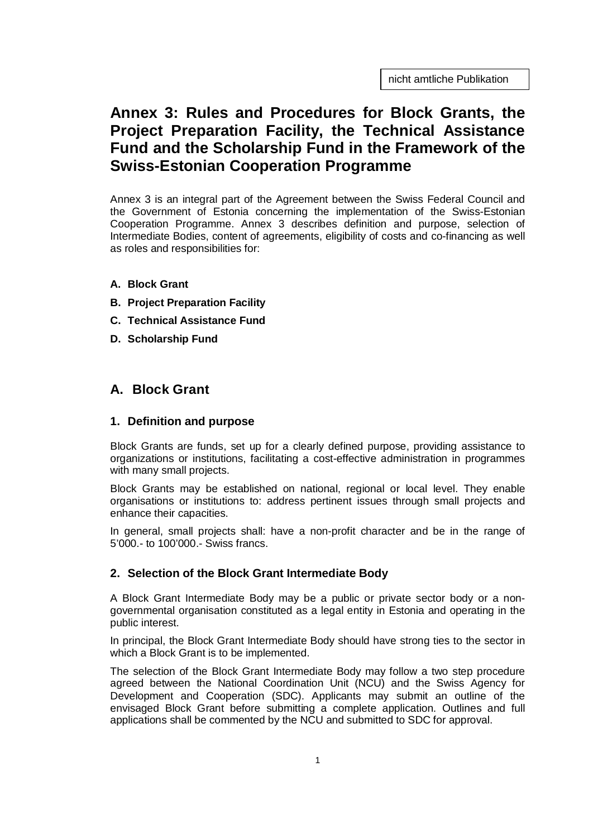nicht amtliche Publikation

# **Annex 3: Rules and Procedures for Block Grants, the Project Preparation Facility, the Technical Assistance Fund and the Scholarship Fund in the Framework of the Swiss-Estonian Cooperation Programme**

Annex 3 is an integral part of the Agreement between the Swiss Federal Council and the Government of Estonia concerning the implementation of the Swiss-Estonian Cooperation Programme. Annex 3 describes definition and purpose, selection of Intermediate Bodies, content of agreements, eligibility of costs and co-financing as well as roles and responsibilities for:

- **A. Block Grant**
- **B. Project Preparation Facility**
- **C. Technical Assistance Fund**
- **D. Scholarship Fund**

## **A. Block Grant**

### **1. Definition and purpose**

Block Grants are funds, set up for a clearly defined purpose, providing assistance to organizations or institutions, facilitating a cost-effective administration in programmes with many small projects.

Block Grants may be established on national, regional or local level. They enable organisations or institutions to: address pertinent issues through small projects and enhance their capacities.

In general, small projects shall: have a non-profit character and be in the range of 5'000.- to 100'000.- Swiss francs.

## **2. Selection of the Block Grant Intermediate Body**

A Block Grant Intermediate Body may be a public or private sector body or a nongovernmental organisation constituted as a legal entity in Estonia and operating in the public interest.

In principal, the Block Grant Intermediate Body should have strong ties to the sector in which a Block Grant is to be implemented.

The selection of the Block Grant Intermediate Body may follow a two step procedure agreed between the National Coordination Unit (NCU) and the Swiss Agency for Development and Cooperation (SDC). Applicants may submit an outline of the envisaged Block Grant before submitting a complete application. Outlines and full applications shall be commented by the NCU and submitted to SDC for approval.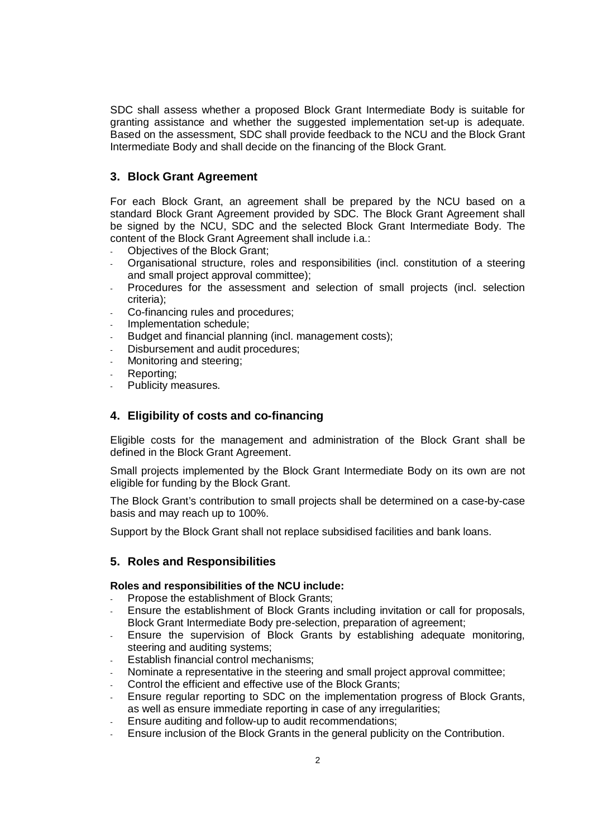SDC shall assess whether a proposed Block Grant Intermediate Body is suitable for granting assistance and whether the suggested implementation set-up is adequate. Based on the assessment, SDC shall provide feedback to the NCU and the Block Grant Intermediate Body and shall decide on the financing of the Block Grant.

## **3. Block Grant Agreement**

For each Block Grant, an agreement shall be prepared by the NCU based on a standard Block Grant Agreement provided by SDC. The Block Grant Agreement shall be signed by the NCU, SDC and the selected Block Grant Intermediate Body. The content of the Block Grant Agreement shall include i.a.:

- Objectives of the Block Grant;
- Organisational structure, roles and responsibilities (incl. constitution of a steering and small project approval committee);
- Procedures for the assessment and selection of small projects (incl. selection criteria);
- Co-financing rules and procedures;
- Implementation schedule:
- Budget and financial planning (incl. management costs);
- Disbursement and audit procedures;
- Monitoring and steering;
- Reporting:
- Publicity measures.

## **4. Eligibility of costs and co-financing**

Eligible costs for the management and administration of the Block Grant shall be defined in the Block Grant Agreement.

Small projects implemented by the Block Grant Intermediate Body on its own are not eligible for funding by the Block Grant.

The Block Grant's contribution to small projects shall be determined on a case-by-case basis and may reach up to 100%.

Support by the Block Grant shall not replace subsidised facilities and bank loans.

## **5. Roles and Responsibilities**

#### **Roles and responsibilities of the NCU include:**

- Propose the establishment of Block Grants:
- Ensure the establishment of Block Grants including invitation or call for proposals, Block Grant Intermediate Body pre-selection, preparation of agreement;
- Ensure the supervision of Block Grants by establishing adequate monitoring, steering and auditing systems;
- Establish financial control mechanisms;
- Nominate a representative in the steering and small project approval committee;
- Control the efficient and effective use of the Block Grants;
- Ensure regular reporting to SDC on the implementation progress of Block Grants, as well as ensure immediate reporting in case of any irregularities;
- Ensure auditing and follow-up to audit recommendations;
- Ensure inclusion of the Block Grants in the general publicity on the Contribution.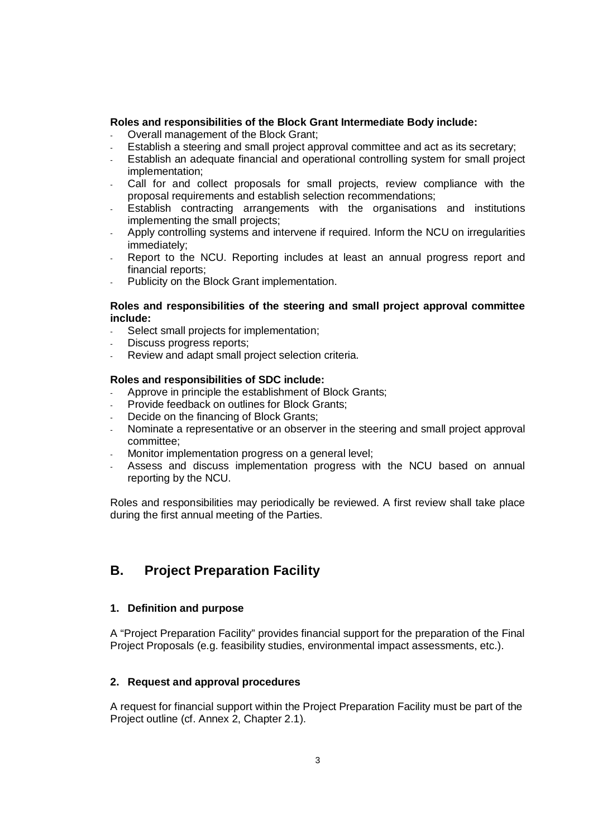#### **Roles and responsibilities of the Block Grant Intermediate Body include:**

- Overall management of the Block Grant;
- Establish a steering and small project approval committee and act as its secretary;
- Establish an adequate financial and operational controlling system for small project implementation;
- Call for and collect proposals for small projects, review compliance with the proposal requirements and establish selection recommendations;
- Establish contracting arrangements with the organisations and institutions implementing the small projects;
- Apply controlling systems and intervene if required. Inform the NCU on irregularities immediately;
- Report to the NCU. Reporting includes at least an annual progress report and financial reports;
- Publicity on the Block Grant implementation.

#### **Roles and responsibilities of the steering and small project approval committee include:**

- Select small projects for implementation;
- Discuss progress reports;
- Review and adapt small project selection criteria.

#### **Roles and responsibilities of SDC include:**

- Approve in principle the establishment of Block Grants;
- Provide feedback on outlines for Block Grants;
- Decide on the financing of Block Grants;
- Nominate a representative or an observer in the steering and small project approval committee;
- Monitor implementation progress on a general level;
- Assess and discuss implementation progress with the NCU based on annual reporting by the NCU.

Roles and responsibilities may periodically be reviewed. A first review shall take place during the first annual meeting of the Parties.

## **B. Project Preparation Facility**

#### **1. Definition and purpose**

A "Project Preparation Facility" provides financial support for the preparation of the Final Project Proposals (e.g. feasibility studies, environmental impact assessments, etc.).

## **2. Request and approval procedures**

A request for financial support within the Project Preparation Facility must be part of the Project outline (cf. Annex 2, Chapter 2.1).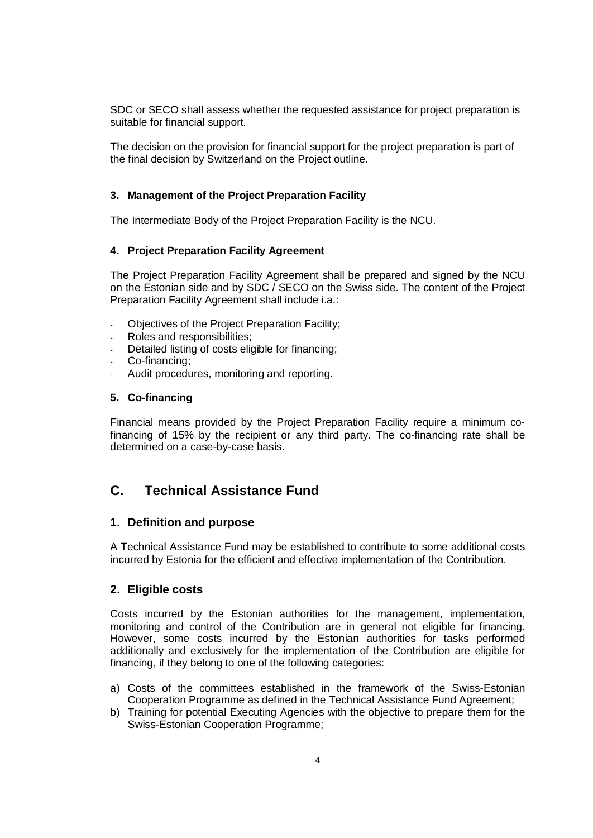SDC or SECO shall assess whether the requested assistance for project preparation is suitable for financial support.

The decision on the provision for financial support for the project preparation is part of the final decision by Switzerland on the Project outline.

#### **3. Management of the Project Preparation Facility**

The Intermediate Body of the Project Preparation Facility is the NCU.

### **4. Project Preparation Facility Agreement**

The Project Preparation Facility Agreement shall be prepared and signed by the NCU on the Estonian side and by SDC / SECO on the Swiss side. The content of the Project Preparation Facility Agreement shall include i.a.:

- Objectives of the Project Preparation Facility;
- Roles and responsibilities;
- Detailed listing of costs eligible for financing;
- Co-financing;
- Audit procedures, monitoring and reporting.

#### **5. Co-financing**

Financial means provided by the Project Preparation Facility require a minimum cofinancing of 15% by the recipient or any third party. The co-financing rate shall be determined on a case-by-case basis.

## **C. Technical Assistance Fund**

#### **1. Definition and purpose**

A Technical Assistance Fund may be established to contribute to some additional costs incurred by Estonia for the efficient and effective implementation of the Contribution.

#### **2. Eligible costs**

Costs incurred by the Estonian authorities for the management, implementation, monitoring and control of the Contribution are in general not eligible for financing. However, some costs incurred by the Estonian authorities for tasks performed additionally and exclusively for the implementation of the Contribution are eligible for financing, if they belong to one of the following categories:

- a) Costs of the committees established in the framework of the Swiss-Estonian Cooperation Programme as defined in the Technical Assistance Fund Agreement;
- b) Training for potential Executing Agencies with the objective to prepare them for the Swiss-Estonian Cooperation Programme;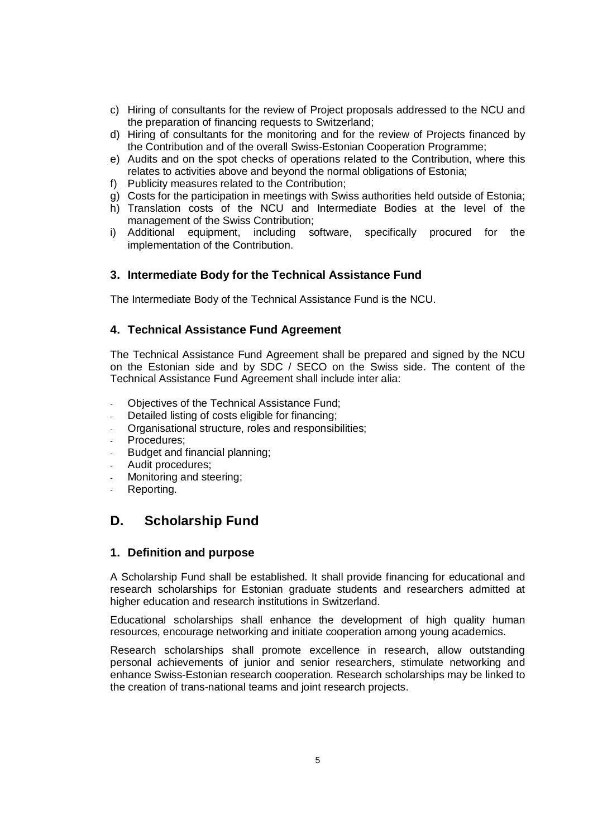- c) Hiring of consultants for the review of Project proposals addressed to the NCU and the preparation of financing requests to Switzerland;
- d) Hiring of consultants for the monitoring and for the review of Projects financed by the Contribution and of the overall Swiss-Estonian Cooperation Programme;
- e) Audits and on the spot checks of operations related to the Contribution, where this relates to activities above and beyond the normal obligations of Estonia;
- f) Publicity measures related to the Contribution;
- g) Costs for the participation in meetings with Swiss authorities held outside of Estonia;
- h) Translation costs of the NCU and Intermediate Bodies at the level of the management of the Swiss Contribution;
- i) Additional equipment, including software, specifically procured for the implementation of the Contribution.

## **3. Intermediate Body for the Technical Assistance Fund**

The Intermediate Body of the Technical Assistance Fund is the NCU.

## **4. Technical Assistance Fund Agreement**

The Technical Assistance Fund Agreement shall be prepared and signed by the NCU on the Estonian side and by SDC / SECO on the Swiss side. The content of the Technical Assistance Fund Agreement shall include inter alia:

- Objectives of the Technical Assistance Fund;
- Detailed listing of costs eligible for financing:
- Organisational structure, roles and responsibilities;
- Procedures;
- Budget and financial planning;
- Audit procedures;
- Monitoring and steering;
- Reporting.

## **D. Scholarship Fund**

## **1. Definition and purpose**

A Scholarship Fund shall be established. It shall provide financing for educational and research scholarships for Estonian graduate students and researchers admitted at higher education and research institutions in Switzerland.

Educational scholarships shall enhance the development of high quality human resources, encourage networking and initiate cooperation among young academics.

Research scholarships shall promote excellence in research, allow outstanding personal achievements of junior and senior researchers, stimulate networking and enhance Swiss-Estonian research cooperation. Research scholarships may be linked to the creation of trans-national teams and joint research projects.